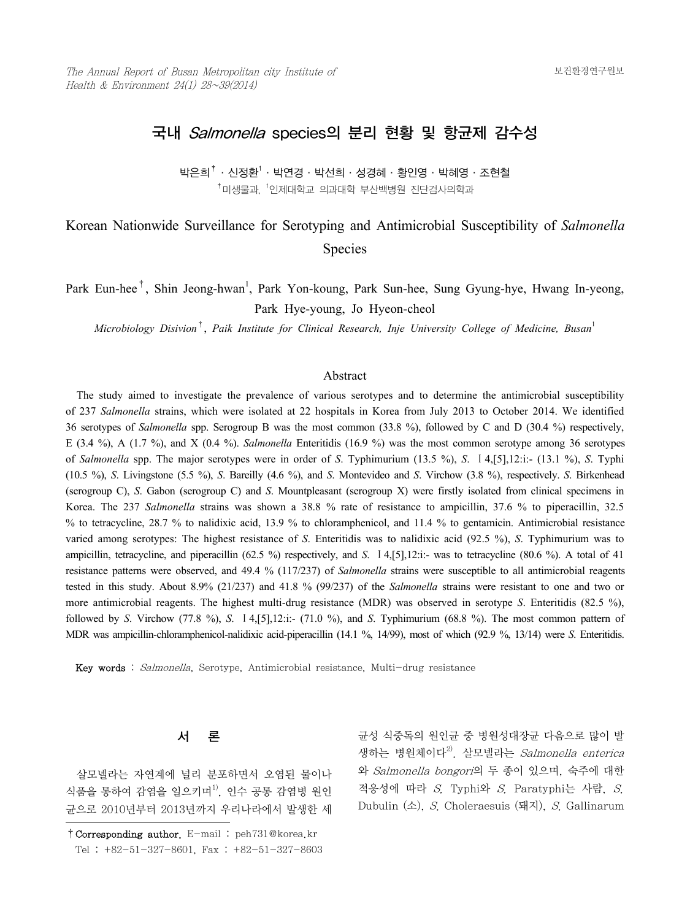## 국내 Salmonella species의 분리 현황 및 항균제 감수성

박은희 $^\dagger$ ㆍ신정환 $^\dagger$ ㆍ박연경ㆍ박선희ㆍ성경혜ㆍ황인영ㆍ박혜영ㆍ조현철  $^\dagger$ 미생물과,  $^{\dagger}$ 인제대학교 의과대학 부산백병원 진단검사의학과

# Korean Nationwide Surveillance for Serotyping and Antimicrobial Susceptibility of *Salmonella* Species

Park Eun-hee<sup>†</sup>, Shin Jeong-hwan<sup>1</sup>, Park Yon-koung, Park Sun-hee, Sung Gyung-hye, Hwang In-yeong, Park Hye-young, Jo Hyeon-cheol

*Microbiology Disivion*†, *Paik Institute for Clinical Research, Inje University College of Medicine, Busan*<sup>1</sup>

#### Abstract

 The study aimed to investigate the prevalence of various serotypes and to determine the antimicrobial susceptibility of 237 *Salmonella* strains, which were isolated at 22 hospitals in Korea from July 2013 to October 2014. We identified 36 serotypes of *Salmonella* spp. Serogroup B was the most common (33.8 %), followed by C and D (30.4 %) respectively, E (3.4 %), A (1.7 %), and X (0.4 %). *Salmonella* Enteritidis (16.9 %) was the most common serotype among 36 serotypes of *Salmonella* spp. The major serotypes were in order of *S*. Typhimurium (13.5 %), *S*. Ⅰ4,[5],12:i:- (13.1 %), *S*. Typhi (10.5 %), *S*. Livingstone (5.5 %), *S*. Bareilly (4.6 %), and *S*. Montevideo and *S*. Virchow (3.8 %), respectively. *S*. Birkenhead (serogroup C), *S*. Gabon (serogroup C) and *S*. Mountpleasant (serogroup X) were firstly isolated from clinical specimens in Korea. The 237 *Salmonella* strains was shown a 38.8 % rate of resistance to ampicillin, 37.6 % to piperacillin, 32.5 % to tetracycline, 28.7 % to nalidixic acid, 13.9 % to chloramphenicol, and 11.4 % to gentamicin. Antimicrobial resistance varied among serotypes: The highest resistance of *S*. Enteritidis was to nalidixic acid (92.5 %), *S*. Typhimurium was to ampicillin, tetracycline, and piperacillin (62.5 %) respectively, and *S*. Ⅰ4,[5],12:i:- was to tetracycline (80.6 %). A total of 41 resistance patterns were observed, and 49.4 % (117/237) of *Salmonella* strains were susceptible to all antimicrobial reagents tested in this study. About 8.9% (21/237) and 41.8 % (99/237) of the *Salmonella* strains were resistant to one and two or more antimicrobial reagents. The highest multi-drug resistance (MDR) was observed in serotype *S*. Enteritidis (82.5 %), followed by *S*. Virchow (77.8 %), *S*. Ⅰ4,[5],12:i:- (71.0 %), and *S*. Typhimurium (68.8 %). The most common pattern of MDR was ampicillin-chloramphenicol-nalidixic acid-piperacillin (14.1 %, 14/99), most of which (92.9 %, 13/14) were *S*. Enteritidis.

Key words : Salmonella, Serotype, Antimicrobial resistance, Multi-drug resistance

## 서 론

 살모넬라는 자연계에 널리 분포하면서 오염된 물이나 식품을 통하여 감염을 일으키며<sup>1)</sup>, 인수 공통 감염병 원인 균으로 2010년부터 2013년까지 우리나라에서 발생한 세

균성 식중독의 원인균 중 병원성대장균 다음으로 많이 발 생하는 병원체이다<sup>2)</sup>. 살모넬라는 *Salmonella enterica* 와 Salmonella bongori의 두 종이 있으며, 숙주에 대한 적응성에 따라 S. Typhi와 S. Paratyphi는 사람, S. Dubulin (소), S. Choleraesuis (돼지), S. Gallinarum

<sup>†</sup>Corresponding author. E-mail : peh731@korea.kr Tel : +82-51-327-8601, Fax : +82-51-327-8603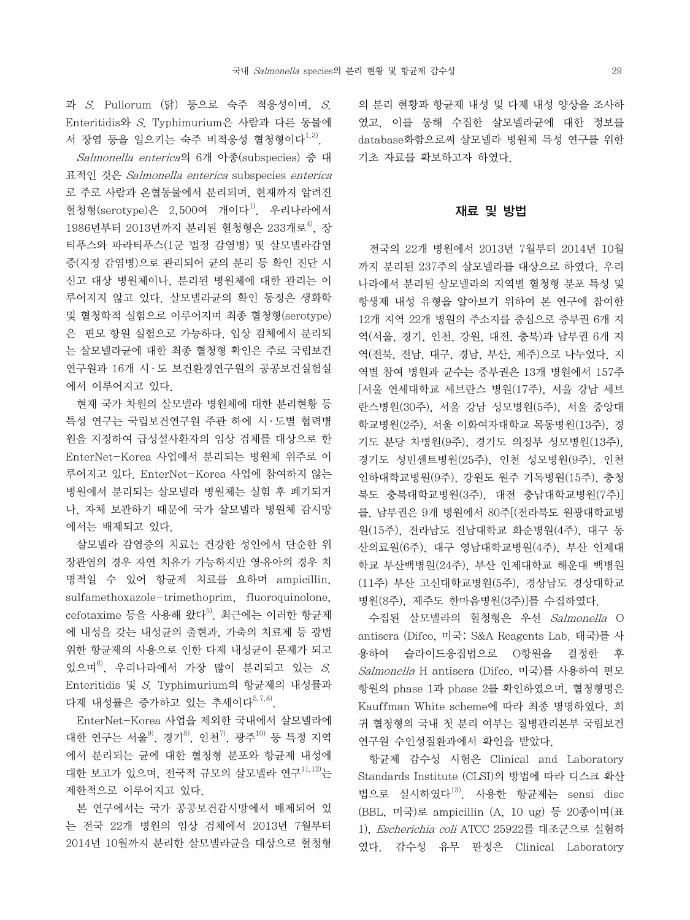과  $S$ . Pullorum (닭) 등으로 숙주 적응성이며,  $S$ . Enteritidis와 S. Typhimurium은 사람과 다른 동물에 서 장염 등을 일으키는 숙주 비적응성 혈청형이다<sup>1,3)</sup>.

 Salmonella enterica의 6개 아종(subspecies) 중 대 표적인 것은 Salmonella enterica subspecies enterica 로 주로 사람과 온혈동물에서 분리되며, 현재까지 알려진 혈청형(serotype)은 2,500여 개이다 $^{1)}$ . 우리나라에서 1986년부터 2013년까지 분리된 혈청형은 233개로<sup>4)</sup>, 장 티푸스와 파라티푸스(1군 법정 감염병) 및 살모넬라감염 증(지정 감염병)으로 관리되어 균의 분리 등 확인 진단 시 신고 대상 병원체이나, 분리된 병원체에 대한 관리는 이 루어지지 않고 있다. 살모넬라균의 확인 동정은 생화학 및 혈청학적 실험으로 이루어지며 최종 혈청형(serotype) 은 편모 항원 실험으로 가능하다. 임상 검체에서 분리되 는 살모넬라균에 대한 최종 혈청형 확인은 주로 국립보건 연구원과 16개 시 · 도 보건환경연구원의 공공보건실험실 에서 이루어지고 있다.

 현재 국가 차원의 살모넬라 병원체에 대한 분리현황 등 특성 연구는 국립보건연구원 주관 하에 시 ․ 도별 협력병 원을 지정하여 급성설사환자의 임상 검체를 대상으로 한 EnterNet-Korea 사업에서 분리되는 병원체 위주로 이 루어지고 있다. EnterNet-Korea 사업에 참여하지 않는 병원에서 분리되는 살모넬라 병원체는 실험 후 폐기되거 나, 자체 보관하기 때문에 국가 살모넬라 병원체 감시망 에서는 배제되고 있다.

 살모넬라 감염증의 치료는 건강한 성인에서 단순한 위 장관염의 경우 자연 치유가 가능하지만 영․유아의 경우 치 명적일 수 있어 항균제 치료를 요하며 ampicillin, sulfamethoxazole-trimethoprim, fluoroquinolone,  $cefotaxime$  등을 사용해 왔다 $^{5)}$ . 최근에는 이러한 항균제 에 내성을 갖는 내성균의 출현과, 가축의 치료제 등 광범 위한 항균제의 사용으로 인한 다제 내성균이 문제가 되고 있으며 $^{6}$ . 우리나라에서 가장 많이 분리되고 있는 S. Enteritidis 및 S. Typhimurium의 항균제의 내성률과 다제 내성률은 증가하고 있는 추세이다<sup>5,7,8)</sup>.

 EnterNet-Korea 사업을 제외한 국내에서 살모넬라에 대한 연구는 서울<sup>9)</sup>, 경기<sup>8)</sup>, 인천<sup>7)</sup>, 광주<sup>10)</sup> 등 특정 지역 에서 분리되는 균에 대한 혈청형 분포와 항균제 내성에 대한 보고가 있으며, 전국적 규모의 살모넬라 연구<sup>11,12)</sup>는 제한적으로 이루어지고 있다.

 본 연구에서는 국가 공공보건감시망에서 배제되어 있 는 전국 22개 병원의 임상 검체에서 2013년 7월부터 2014년 10월까지 분리한 살모넬라균을 대상으로 혈청형

의 분리 현황과 항균제 내성 및 다제 내성 양상을 조사하 였고, 이를 통해 수집한 살모넬라균에 대한 정보를 database화함으로써 살모넬라 병원체 특성 연구를 위한 기초 자료를 확보하고자 하였다.

### 재료 및 방법

 전국의 22개 병원에서 2013년 7월부터 2014년 10월 까지 분리된 237주의 살모넬라를 대상으로 하였다. 우리 나라에서 분리된 살모넬라의 지역별 혈청형 분포 특성 및 항생제 내성 유형을 알아보기 위하여 본 연구에 참여한 12개 지역 22개 병원의 주소지를 중심으로 중부권 6개 지 역(서울, 경기, 인천, 강원, 대전, 충북)과 남부권 6개 지 역(전북, 전남, 대구, 경남, 부산, 제주)으로 나누었다. 지 역별 참여 병원과 균수는 중부권은 13개 병원에서 157주 [서울 연세대학교 세브란스 병원(17주), 서울 강남 세브 란스병원(30주), 서울 강남 성모병원(5주), 서울 중앙대 학교병원(2주), 서울 이화여자대학교 목동병원(13주), 경 기도 분당 차병원(9주), 경기도 의정부 성모병원(13주), 경기도 성빈센트병원(25주), 인천 성모병원(9주), 인천 인하대학교병원(9주), 강원도 원주 기독병원(15주), 충청 북도 충북대학교병원(3주), 대전 충남대학교병원(7주)] 를, 남부권은 9개 병원에서 80주[(전라북도 원광대학교병 원(15주), 전라남도 전남대학교 화순병원(4주), 대구 동 산의료원(6주), 대구 영남대학교병원(4주), 부산 인제대 학교 부산백병원(24주), 부산 인제대학교 해운대 백병원 (11주) 부산 고신대학교병원(5주), 경상남도 경상대학교 병원(8주), 제주도 한마음병원(3주)]를 수집하였다.

 수집된 살모넬라의 혈청형은 우선 Salmonella O antisera (Difco, 미국; S&A Reagents Lab. 태국)를 사 용하여 슬라이드응집법으로 O항원을 결정한 후 Salmonella H antisera (Difco, 미국)를 사용하여 편모 항원의 phase 1과 phase 2를 확인하였으며, 혈청형명은 Kauffman White scheme에 따라 최종 명명하였다. 희 귀 혈청형의 국내 첫 분리 여부는 질병관리본부 국립보건 연구원 수인성질환과에서 확인을 받았다.

 항균제 감수성 시험은 Clinical and Laboratory Standards Institute (CLSI)의 방법에 따라 디스크 확산 법으로 실시하였다13). 사용한 항균제는 sensi disc (BBL, 미국)로 ampicillin (A, 10 ug) 등 20종이며(표 1), Escherichia coli ATCC 25922를 대조군으로 실험하 였다. 감수성 유무 판정은 Clinical Laboratory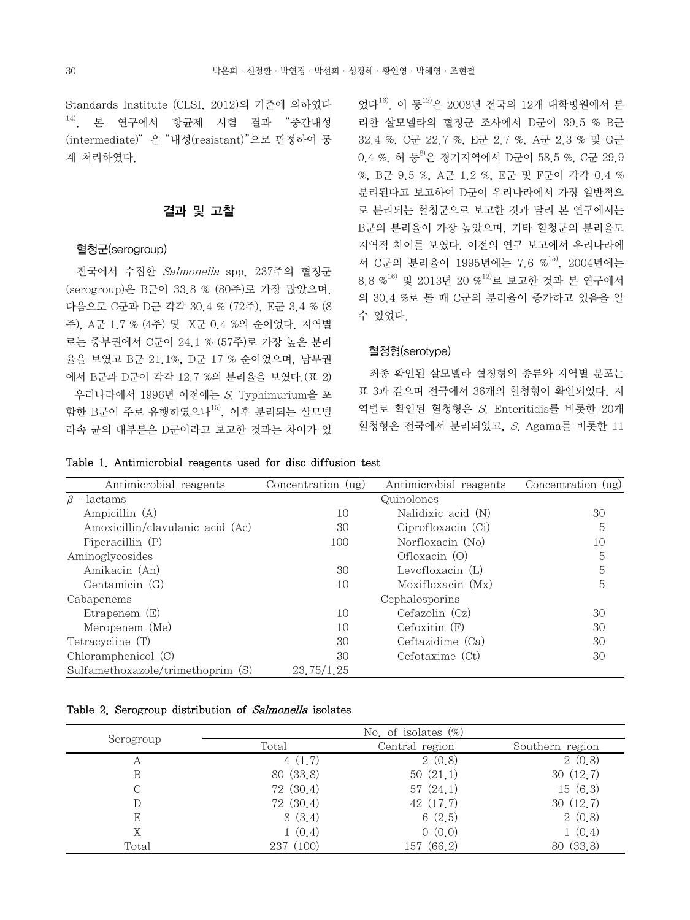Standards Institute (CLSI, 2012)의 기준에 의하였다  $^{14)}$  본 연구에서 항규제 시험 결과 "중간내성 (intermediate)"은 "내성(resistant)"으로 판정하여 통 계 처리하였다.

## 결과 및 고찰

#### 혈청군(serogroup)

 전국에서 수집한 Salmonella spp. 237주의 혈청군 (serogroup)은 B군이 33.8 % (80주)로 가장 많았으며, 다음으로 C군과 D군 각각 30.4 % (72주), E군 3.4 % (8 주), A군 1.7 % (4주) 및 X군 0.4 %의 순이었다. 지역별 로는 중부권에서 C군이 24.1 % (57주)로 가장 높은 분리 율을 보였고 B군 21.1%, D군 17 % 순이었으며, 남부권 에서 B군과 D군이 각각 12.7 %의 분리율을 보였다.(표 2) 우리나라에서 1996년 이전에는 S. Typhimurium을 포 함한 B군이 주로 유행하였으나<sup>15)</sup>, 이후 분리되는 살모넬 라속 균의 대부분은 D군이라고 보고한 것과는 차이가 있 었다16). 이 등12)은 2008년 전국의 12개 대학병원에서 분 리한 살모넬라의 혈청군 조사에서 D군이 39.5 % B군 32.4 %, C군 22.7 %, E군 2.7 %, A군 2.3 % 및 G군 0.4 %, 허 등 <sup>8</sup>은 경기지역에서 D군이 58.5 %, C군 29.9 %, B군 9.5 %, A군 1.2 %, E군 및 F군이 각각 0.4 % 분리된다고 보고하여 D군이 우리나라에서 가장 일반적으 로 분리되는 혈청군으로 보고한 것과 달리 본 연구에서는 B군의 분리율이 가장 높았으며, 기타 혈청군의 분리율도 지역적 차이를 보였다. 이전의 연구 보고에서 우리나라에 서 C군의 분리율이 1995년에는 7.6 %<sup>15)</sup>, 2004년에는 8.8 %16) 및 2013년 20 %12)로 보고한 것과 본 연구에서 의 30.4 %로 볼 때 C군의 분리율이 증가하고 있음을 알 수 있었다.

## 혈청형(serotype)

 최종 확인된 살모넬라 혈청형의 종류와 지역별 분포는 표 3과 같으며 전국에서 36개의 혈청형이 확인되었다. 지 역별로 확인된 혈청형은 S. Enteritidis를 비롯한 20개 혈청형은 전국에서 분리되었고, S. Agama를 비롯한 11

|  | Table 1. Antimicrobial reagents used for disc diffusion test |  |  |  |  |  |  |
|--|--------------------------------------------------------------|--|--|--|--|--|--|
|--|--------------------------------------------------------------|--|--|--|--|--|--|

| Antimicrobial reagents            | Concentration (ug) | Antimicrobial reagents | Concentration (ug) |
|-----------------------------------|--------------------|------------------------|--------------------|
| $\beta$ -lactams                  |                    | Quinolones             |                    |
| Ampicillin (A)                    | 10                 | Nalidixic acid (N)     | 30                 |
| Amoxicillin/clavulanic acid (Ac)  | 30                 | Ciprofloxacin (Ci)     | 5                  |
| Piperacillin $(P)$                | 100                | Norfloxacin (No)       | 10                 |
| Aminoglycosides                   |                    | Oflox (O)              | 5                  |
| Amikacin (An)                     | 30                 | Levofloxacin $(L)$     | 5                  |
| Gentamicin (G)                    | 10                 | Moxifloxacin (Mx)      | 5                  |
| Cabapenems                        |                    | Cephalosporins         |                    |
| Etrapenem $(E)$                   | 10                 | Cefazolin(Cz)          | 30                 |
| Meropenem (Me)                    | 10                 | $Cefoxitin$ $(F)$      | 30                 |
| Tetracycline (T)                  | 30                 | Ceftazidime (Ca)       | 30                 |
| Chloramphenicol (C)               | 30                 | Cefotaxime (Ct)        | 30                 |
| Sulfamethoxazole/trimethoprim (S) | 23.75/1.25         |                        |                    |

#### Table 2. Serogroup distribution of Salmonella isolates

|           | No. of isolates $(\%)$ |                |                 |  |  |  |  |  |  |  |
|-----------|------------------------|----------------|-----------------|--|--|--|--|--|--|--|
| Serogroup | Total                  | Central region | Southern region |  |  |  |  |  |  |  |
| Α         | 4(1,7)                 | 2(0,8)         | 2(0,8)          |  |  |  |  |  |  |  |
| В         | 80(33,8)               | 50(21,1)       | 30(12,7)        |  |  |  |  |  |  |  |
|           | 72(30,4)               | 57(24,1)       | 15(6,3)         |  |  |  |  |  |  |  |
|           | 72(30,4)               | 42 (17.7)      | 30(12,7)        |  |  |  |  |  |  |  |
| E         | 8(3,4)                 | 6(2.5)         | 2(0,8)          |  |  |  |  |  |  |  |
|           | 1(0,4)                 | 0(0,0)         | 1(0,4)          |  |  |  |  |  |  |  |
| Total     | 237 (100)              | (66.2)<br>157  | (33,8)<br>80    |  |  |  |  |  |  |  |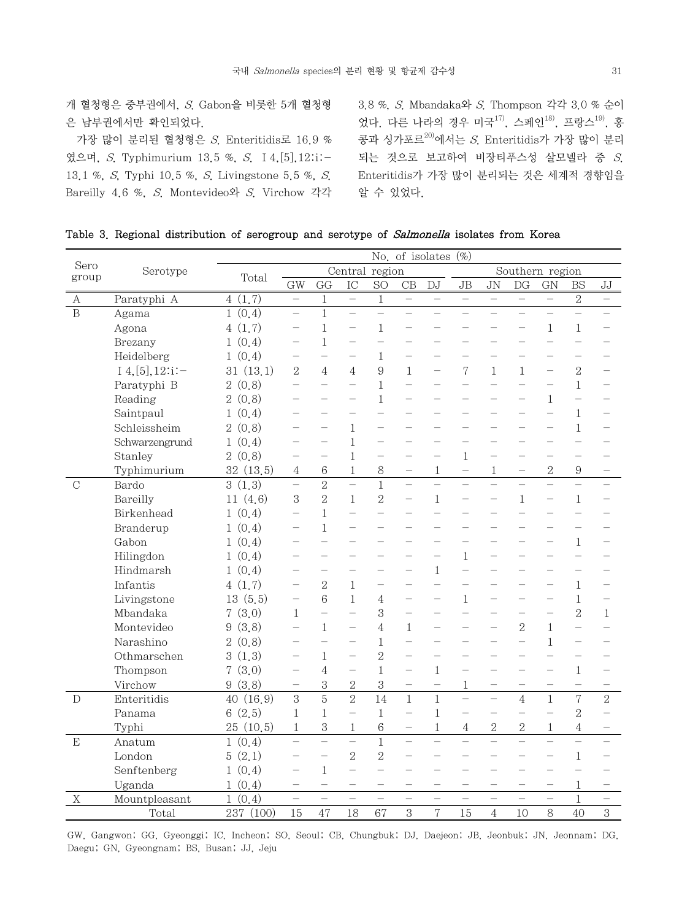개 혈청형은 중부권에서, S. Gabon을 비롯한 5개 혈청형 은 남부권에서만 확인되었다.

 가장 많이 분리된 혈청형은 S. Enteritidis로 16.9 % 였으며, S. Typhimurium 13.5 %, S. Ⅰ4,[5],12:i:- 13.1 %, S, Typhi 10.5 %, S. Livingstone 5.5 %, S. Bareilly 4.6 %, S. Montevideo와 S. Virchow 각각

3.8 %, S. Mbandaka와 S. Thompson 각각 3.0 % 순이 었다. 다른 나라의 경우 미국<sup>17)</sup>, 스페인<sup>18)</sup>, 프랑스<sup>19)</sup>, 홍 콩과 싱가포르20)에서는 S. Enteritidis가 가장 많이 분리 되는 것으로 보고하여 비장티푸스성 살모넬라 중 S. Enteritidis가 가장 많이 분리되는 것은 세계적 경향임을 알 수 있었다.

|  |  |  |  | Table 3. Regional distribution of serogroup and serotype of Salmonella isolates from Korea |  |  |  |  |  |  |  |  |  |
|--|--|--|--|--------------------------------------------------------------------------------------------|--|--|--|--|--|--|--|--|--|
|--|--|--|--|--------------------------------------------------------------------------------------------|--|--|--|--|--|--|--|--|--|

|               |                     | No. of isolates $(\%)$ |                          |                |                          |                          |                                   |                          |                          |                          |                          |                          |                          |                          |
|---------------|---------------------|------------------------|--------------------------|----------------|--------------------------|--------------------------|-----------------------------------|--------------------------|--------------------------|--------------------------|--------------------------|--------------------------|--------------------------|--------------------------|
| Sero<br>group | Serotype            | Total                  |                          |                |                          | Central region           |                                   |                          |                          |                          | Southern region          |                          |                          |                          |
|               |                     |                        | GW                       | GG             | IC                       | <b>SO</b>                | CB                                | <b>DJ</b>                | JB                       | JN                       | DG                       | GN                       | <b>BS</b>                | JJ                       |
| A             | Paratyphi A         | 4(1,7)                 | $\overline{\phantom{0}}$ | $\mathbf{1}$   | $\equiv$                 | $\mathbf{1}$             | $\hspace{0.1in} - \hspace{0.1in}$ | $\overline{\phantom{m}}$ | $\qquad \qquad -$        | $\qquad \qquad -$        | $\overline{\phantom{m}}$ | $\overline{\phantom{0}}$ | $\sqrt{2}$               | $\overline{\phantom{m}}$ |
| $\mathbf B$   | Agama               | 1(0.4)                 | $\equiv$                 | $\mathbf{1}$   | $\overline{a}$           | $\overline{a}$           | $\overline{a}$                    | $\overline{\phantom{0}}$ |                          | $\overline{a}$           |                          |                          | $\overline{\phantom{0}}$ |                          |
|               | Agona               | 4(1,7)                 |                          | $\mathbf{1}$   |                          | $\mathbf{1}$             |                                   |                          |                          |                          |                          | $\mathbf{1}$             | $\mathbf{1}$             |                          |
|               | Brezany             | 1(0,4)                 |                          | $\mathbf{1}$   |                          | $\overline{\phantom{0}}$ |                                   |                          |                          |                          |                          |                          |                          |                          |
|               | Heidelberg          | 1(0,4)                 |                          |                |                          | $\mathbf{1}$             |                                   |                          |                          |                          |                          |                          |                          |                          |
|               | $I$ 4, [5], 12:i: - | 31(13,1)               | $\overline{2}$           | $\overline{4}$ | 4                        | $\boldsymbol{9}$         | $\mathbf{1}$                      |                          | 7                        | $\mathbf{1}$             | $\mathbf{1}$             |                          | $\overline{2}$           |                          |
|               | Paratyphi B         | 2(0,8)                 | $\equiv$                 |                | $\overline{a}$           | $\mathbf{1}$             | $\overline{a}$                    | $\equiv$                 | $\overline{\phantom{0}}$ | $\overline{a}$           | $\equiv$                 |                          | $\mathbf{1}$             |                          |
|               | Reading             | 2(0,8)                 |                          |                |                          | $\mathbf{1}$             | $\equiv$                          |                          |                          |                          |                          | $\mathbf{1}$             |                          |                          |
|               | Saintpaul           | 1(0,4)                 |                          |                | $\overline{\phantom{0}}$ | $\overline{a}$           | $-$                               | $\overline{\phantom{0}}$ |                          |                          | $\overline{\phantom{0}}$ |                          | $\mathbf{1}$             |                          |
|               | Schleissheim        | 2(0,8)                 |                          |                | $\mathbf{1}$             |                          |                                   |                          |                          |                          |                          |                          | $\mathbf{1}$             |                          |
|               | Schwarzengrund      | 1(0,4)                 |                          |                | $\mathbf{1}$             |                          |                                   |                          |                          |                          |                          |                          |                          |                          |
|               | Stanley             | 2(0,8)                 |                          |                | $\mathbf{1}$             |                          |                                   | $\overline{\phantom{0}}$ | $\mathbf{1}$             | $\overline{\phantom{0}}$ |                          |                          |                          |                          |
|               | Typhimurium         | 32(13,5)               | $\overline{4}$           | 6              | $\mathbf{1}$             | 8                        | -                                 | $\mathbf{1}$             | $\overline{\phantom{0}}$ | $\mathbf{1}$             |                          | $\overline{2}$           | $\boldsymbol{9}$         |                          |
| $\mathcal{C}$ | Bardo               | 3(1,3)                 |                          | $\overline{2}$ | $\overline{a}$           | $\mathbf{1}$             | $\overline{a}$                    | $\overline{a}$           |                          |                          |                          |                          |                          |                          |
|               | Bareilly            | 11 $(4,6)$             | 3                        | $\overline{2}$ | $\mathbf{1}$             | $\overline{2}$           | $\equiv$                          | $\mathbf{1}$             |                          |                          | $\mathbf{1}$             |                          | $\mathbf{1}$             |                          |
|               | Birkenhead          | 1(0,4)                 | $\overline{a}$           | $\mathbf{1}$   |                          | $\overline{a}$           | $\equiv$                          | $\overline{a}$           |                          |                          |                          |                          |                          |                          |
|               | Branderup           | 1(0,4)                 |                          | $\mathbf{1}$   |                          | ÷.                       | $\overline{\phantom{0}}$          | $\overline{\phantom{0}}$ |                          |                          |                          |                          |                          |                          |
|               | Gabon               | 1(0,4)                 |                          |                |                          |                          |                                   | $\overline{\phantom{0}}$ |                          |                          |                          |                          | $\mathbf{1}$             |                          |
|               | Hilingdon           | 1(0,4)                 |                          |                |                          |                          | $\overline{\phantom{0}}$          | -                        | $\mathbf{1}$             |                          |                          |                          |                          |                          |
|               | Hindmarsh           | 1(0,4)                 |                          |                |                          |                          | $\equiv$                          | $\mathbf{1}$             | $\equiv$                 |                          |                          |                          |                          |                          |
|               | Infantis            | 4(1,7)                 | $\equiv$                 | $\overline{2}$ | $\mathbf{1}$             | $\overline{\phantom{0}}$ | $\overline{\phantom{0}}$          | $\overline{a}$           | $\overline{\phantom{0}}$ | $\overline{\phantom{0}}$ | $\overline{\phantom{0}}$ |                          | $\mathbf{1}$             |                          |
|               | Livingstone         | 13(5,5)                |                          | 6              | $\mathbf{1}$             | 4                        |                                   |                          | $\mathbf{1}$             |                          |                          |                          | $\mathbf{1}$             |                          |
|               | Mbandaka            | 7(3,0)                 | $\mathbf{1}$             |                | $\overline{\phantom{0}}$ | 3                        | $\overline{\phantom{0}}$          | $\overline{\phantom{0}}$ | $\equiv$                 |                          |                          |                          | $\overline{2}$           | $\mathbf{1}$             |
|               | Montevideo          | 9(3,8)                 |                          | $\mathbf{1}$   | $\overline{\phantom{0}}$ | $\overline{4}$           | $\mathbf{1}$                      | $\equiv$                 |                          |                          | $\overline{2}$           | $\mathbf{1}$             |                          |                          |
|               | Narashino           | 2(0,8)                 |                          |                |                          | $\mathbf{1}$             | $\overline{\phantom{0}}$          | -                        |                          |                          | $\overline{\phantom{0}}$ | $\mathbf{1}$             | $\overline{\phantom{0}}$ |                          |
|               | Othmarschen         | 3(1,3)                 | $\overline{\phantom{0}}$ | $\mathbf{1}$   | $\overline{\phantom{0}}$ | $\overline{2}$           | $\overline{\phantom{0}}$          | $\overline{\phantom{0}}$ | $\overline{\phantom{0}}$ |                          | $\overline{\phantom{0}}$ |                          |                          |                          |
|               | Thompson            | 7(3,0)                 | $\overline{\phantom{0}}$ | $\overline{4}$ | $\overline{\phantom{0}}$ | $\mathbf{1}$             | $\overline{\phantom{0}}$          | $\mathbf{1}$             | $\overline{\phantom{0}}$ |                          |                          |                          | $\mathbf{1}$             |                          |
|               | Virchow             | 9(3,8)                 |                          | 3              | $\overline{2}$           | 3                        |                                   | $\equiv$                 | 1                        |                          | $\equiv$                 |                          | $\overline{a}$           |                          |
| $\mathcal{D}$ | Enteritidis         | 40(16,9)               | 3                        | 5              | $\overline{2}$           | $\overline{14}$          | $\mathbf{1}$                      | $\mathbf{1}$             | $\equiv$                 | $\overline{a}$           | $\overline{4}$           | $\mathbf{1}$             | 7                        | $\overline{2}$           |
|               | Panama              | 6(2.5)                 | $\mathbf{1}$             | $\mathbf{1}$   | $\equiv$                 | $\mathbf{1}$             | $\equiv$                          | $\mathbf{1}$             |                          |                          | $\overline{a}$           |                          | $\overline{2}$           |                          |
|               | Typhi               | 25(10,5)               | 1                        | 3              | $\mathbf{1}$             | $\,6$                    |                                   | $\mathbf{1}$             | $\overline{4}$           | $\sqrt{2}$               | $\overline{2}$           | 1                        | $\overline{4}$           |                          |
| E             | Anatum              | 1(0,4)                 |                          | $\overline{a}$ | $\overline{a}$           | $\mathbf{1}$             | $\equiv$                          | $\overline{a}$           |                          |                          | $\overline{\phantom{0}}$ |                          |                          |                          |
|               | London              | 5(2,1)                 |                          |                | $\overline{2}$           | $\overline{2}$           | $\equiv$                          |                          |                          |                          |                          |                          | $\mathbf{1}$             |                          |
|               | Senftenberg         | 1(0,4)                 |                          | $\mathbf{1}$   | $\overline{\phantom{0}}$ | $\equiv$                 | $\overline{\phantom{0}}$          | $\overline{\phantom{0}}$ |                          |                          |                          |                          |                          |                          |
|               | Uganda              | 1(0,4)                 | -                        |                |                          | -                        | -                                 | —                        | -                        | —                        |                          |                          | 1                        |                          |
| Χ             | Mountpleasant       | 1(0,4)                 |                          |                |                          | $\overline{\phantom{a}}$ |                                   | $\overline{\phantom{a}}$ |                          |                          |                          |                          | $\mathbf{1}$             |                          |
|               | Total               | 237 (100)              | 15                       | 47             | 18                       | 67                       | 3                                 | 7                        | 15                       | $\overline{4}$           | 10                       | 8                        | 40                       | 3                        |

GW, Gangwon; GG, Gyeonggi; IC, Incheon; SO, Seoul; CB, Chungbuk; DJ, Daejeon; JB, Jeonbuk; JN, Jeonnam; DG, Daegu; GN, Gyeongnam; BS, Busan; JJ, Jeju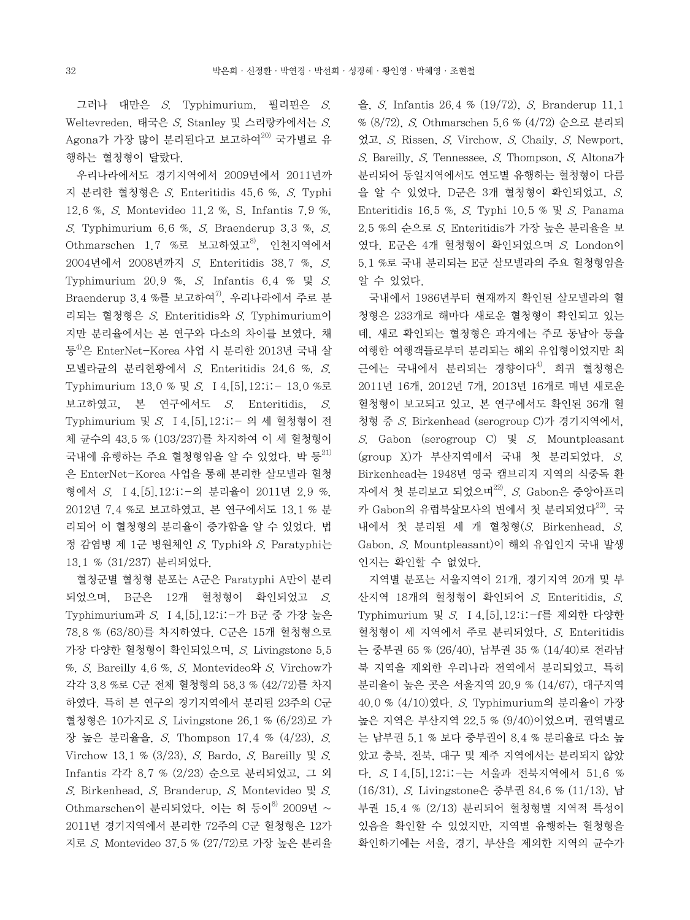그러나 대만은 S. Typhimurium, 필리핀은 S. Weltevreden, 태국은  $S$ . Stanley 및 스리랑카에서는  $S$ . Agona가 가장 많이 분리된다고 보고하여<sup>20)</sup> 국가별로 유 행하는 혈청형이 달랐다.

 우리나라에서도 경기지역에서 2009년에서 2011년까 지 분리한 혈청형은 S. Enteritidis 45.6 %, S. Typhi 12.6 %, S. Montevideo 11.2 %, S. Infantis 7.9 %, S. Typhimurium 6.6 %, S. Braenderup 3.3 %, S. Othmarschen 1.7 %로 보고하였고 $^{8}$ , 인천지역에서 2004년에서 2008년까지 S. Enteritidis 38.7 %, S. Typhimurium 20.9 %, S. Infantis 6.4 %  $\mathbb{R}$  S. Braenderup 3.4 %를 보고하여 $^{7}$ , 우리나라에서 주로 분 리되는 혈청형은 S. Enteritidis와 S. Typhimurium이 지만 분리율에서는 본 연구와 다소의 차이를 보였다. 채 등<sup>4)</sup>은 EnterNet-Korea 사업 시 분리한 2013년 국내 살 모넬라균의 분리현황에서 S. Enteritidis 24.6 %, S. Typhimurium 13.0 % 및 S. Ⅰ4,[5],12:i:- 13.0 %로 보고하였고, 본 연구에서도 S. Enteritidis, S. Typhimurium 및 S. Ⅰ4,[5],12:i:- 의 세 혈청형이 전 체 균수의 43.5 % (103/237)를 차지하여 이 세 혈청형이 국내에 유행하는 주요 혈청형임을 알 수 있었다. 박 등 $^{21}$ 은 EnterNet-Korea 사업을 통해 분리한 살모넬라 혈청 형에서 S. Ⅰ4,[5],12:i:-의 분리율이 2011년 2.9 %, 2012년 7.4 %로 보고하였고, 본 연구에서도 13.1 % 분 리되어 이 혈청형의 분리율이 증가함을 알 수 있었다. 법 정 감염병 제 1군 병원체인 S. Typhi와 S. Paratyphi는 13.1 % (31/237) 분리되었다.

 혈청군별 혈청형 분포는 A군은 Paratyphi A만이 분리 되었으며, B군은 12개 혈청형이 확인되었고 S. Typhimurium과 S. Ⅰ4,[5],12:i:-가 B군 중 가장 높은 78.8 % (63/80)를 차지하였다. C군은 15개 혈청형으로 가장 다양한 혈청형이 확인되었으며, S. Livingstone 5.5 %, S. Bareilly 4.6 %, S. Montevideo와 S. Virchow가 각각 3.8 %로 C군 전체 혈청형의 58.3 % (42/72)를 차지 하였다. 특히 본 연구의 경기지역에서 분리된 23주의 C군 혈청형은 10가지로  $S$  Livingstone 26.1 % (6/23)로 가 장 높은 분리율을, S. Thompson 17.4 % (4/23), S. Virchow 13.1 %  $(3/23)$ , S. Bardo, S. Bareilly  $\mathbb{R}$  S. Infantis 각각 8.7 % (2/23) 순으로 분리되었고, 그 외 S. Birkenhead, S. Branderup, S. Montevideo 및 S. Othmarschen이 분리되었다. 이는 허 등이<sup>8)</sup> 2009년 ~ 2011년 경기지역에서 분리한 72주의 C군 혈청형은 12가 지로 S. Montevideo 37.5 % (27/72)로 가장 높은 분리율 을, S. Infantis 26.4 % (19/72), S. Branderup 11.1 % (8/72), S. Othmarschen 5.6 % (4/72) 순으로 분리되 었고, S. Rissen, S. Virchow, S. Chaily, S. Newport, S. Bareilly, S. Tennessee, S. Thompson, S. Altona가 분리되어 동일지역에서도 연도별 유행하는 혈청형이 다름 을 알 수 있었다. D군은 3개 혈청형이 확인되었고, S. Enteritidis 16.5 %, S. Typhi 10.5 %  $\mathbb{R}$  S. Panama 2.5 %의 순으로 S. Enteritidis가 가장 높은 분리율을 보 였다. E군은 4개 혈청형이 확인되었으며 S. London이 5.1 %로 국내 분리되는 E군 살모넬라의 주요 혈청형임을 알 수 있었다.

 국내에서 1986년부터 현재까지 확인된 살모넬라의 혈 청형은 233개로 해마다 새로운 혈청형이 확인되고 있는 데, 새로 확인되는 혈청형은 과거에는 주로 동남아 등을 여행한 여행객들로부터 분리되는 해외 유입형이었지만 최 근에는 국내에서 분리되는 경향이다<sup>4)</sup>. 희귀 혈청형은 2011년 16개, 2012년 7개, 2013년 16개로 매년 새로운 혈청형이 보고되고 있고, 본 연구에서도 확인된 36개 혈 청형 중 S. Birkenhead (serogroup C)가 경기지역에서, S. Gabon (serogroup C)  $\downarrow$  S. Mountpleasant (group X)가 부산지역에서 국내 첫 분리되었다. S. Birkenhead는 1948년 영국 캠브리지 지역의 식중독 환 자에서 첫 분리보고 되었으며 $^{22}$ , S. Gabon은 중앙아프리 카 Gabon의 유럽북살모사의 변에서 첫 분리되었다<sup>23)</sup>. 국 내에서 첫 분리된 세 개 혈청형 $(S.$  Birkenhead,  $S.$ Gabon, S. Mountpleasant)이 해외 유입인지 국내 발생 인지는 확인할 수 없었다.

 지역별 분포는 서울지역이 21개, 경기지역 20개 및 부 산지역 18개의 혈청형이 확인되어 S. Enteritidis, S. Typhimurium 및 S. Ⅰ4,[5],12:i:-f를 제외한 다양한 혈청형이 세 지역에서 주로 분리되었다. S. Enteritidis 는 중부권 65 % (26/40), 남부권 35 % (14/40)로 전라남 북 지역을 제외한 우리나라 전역에서 분리되었고, 특히 분리율이 높은 곳은 서울지역 20.9 % (14/67), 대구지역 40.0 % (4/10)였다. S. Typhimurium의 분리율이 가장 높은 지역은 부산지역 22.5 % (9/40)이었으며, 권역별로 는 남부권 5.1 % 보다 중부권이 8.4 % 분리율로 다소 높 았고 충북, 전북, 대구 및 제주 지역에서는 분리되지 않았 다. S.Ⅰ4,[5],12:i:-는 서울과 전북지역에서 51.6 % (16/31), S. Livingstone은 중부권 84.6 % (11/13), 남 부권 15.4 % (2/13) 분리되어 혈청형별 지역적 특성이 있음을 확인할 수 있었지만, 지역별 유행하는 혈청형을 확인하기에는 서울, 경기, 부산을 제외한 지역의 균수가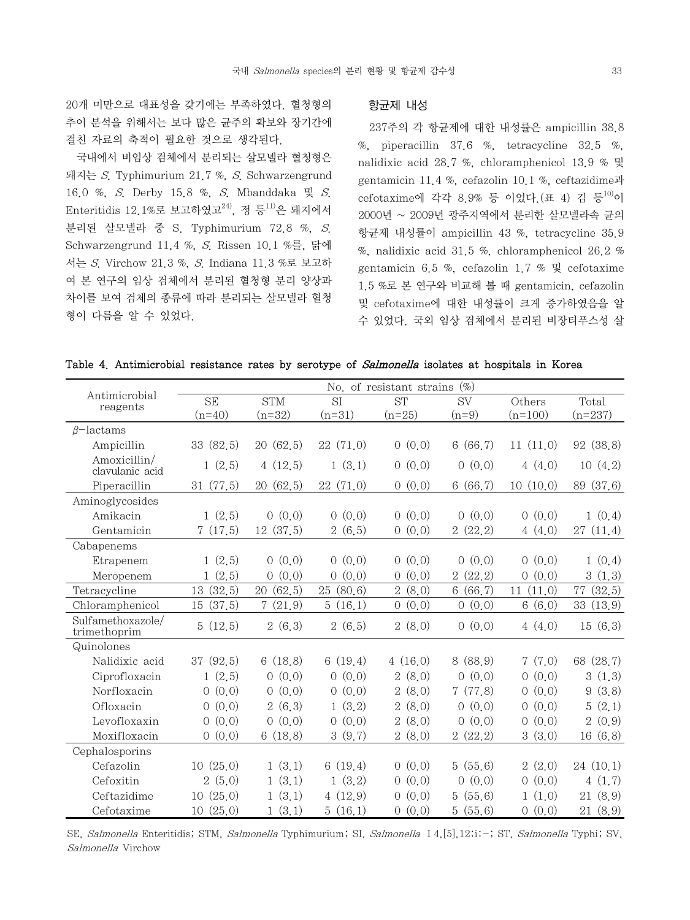국내에서 비임상 검체에서 분리되는 살모넬라 혈청형은 돼지는 S. Typhimurium 21.7 %, S. Schwarzengrund 16.0 %, S. Derby 15.8 %, S. Mbanddaka 및 S. Enteritidis 12.1%로 보고하였고 $^{24}$ , 정 등 $^{11}$ 은 돼지에서 분리된 살모넬라 중 S. Typhimurium 72.8 %, S. Schwarzengrund 11,4 %, S. Rissen 10.1 %를, 닭에 서는 S. Virchow 21.3 %, S. Indiana 11.3 %로 보고하 여 본 연구의 임상 검체에서 분리된 혈청형 분리 양상과 차이를 보여 검체의 종류에 따라 분리되는 살모넬라 혈청 형이 다름을 알 수 있었다.

#### 항균제 내성

 237주의 각 항균제에 대한 내성률은 ampicillin 38.8 %, piperacillin  $37.6$  %, tetracycline  $32.5$  %, nalidixic acid 28.7 %, chloramphenicol 13.9 % 및 gentamicin 11.4 %, cefazolin 10.1 %, ceftazidime과  $cefotaxime$ 에 각각 8.9% 등 이었다. $(E 4)$  김 등 $^{10}$ 이 2000년 ~ 2009년 광주지역에서 분리한 살모넬라속 균의 항균제 내성률이 ampicillin 43 %, tetracycline 35.9 %, nalidixic acid 31.5 %, chloramphenicol 26.2 % gentamicin 6.5 %, cefazolin 1.7 % 및 cefotaxime 1.5 %로 본 연구와 비교해 볼 때 gentamicin, cefazolin 및 cefotaxime에 대한 내성률이 크게 증가하였음을 알 수 있었다. 국외 임상 검체에서 분리된 비장티푸스성 살

|  | Table 4. Antimicrobial resistance rates by serotype of Salmonella isolates at hospitals in Korea |  |  |  |  |  |  |  |  |  |  |  |
|--|--------------------------------------------------------------------------------------------------|--|--|--|--|--|--|--|--|--|--|--|
|--|--------------------------------------------------------------------------------------------------|--|--|--|--|--|--|--|--|--|--|--|

|                                   |                         |                         |                   | No. of resistant strains | $(\%)$                   |                   |                          |
|-----------------------------------|-------------------------|-------------------------|-------------------|--------------------------|--------------------------|-------------------|--------------------------|
| Antimicrobial<br>reagents         | <b>SE</b>               | <b>STM</b>              | SI                | <b>ST</b>                | <b>SV</b>                | Others            | Total                    |
|                                   | $(n=40)$                | $(n=32)$                | $(n=31)$          | $(n=25)$                 | $(n=9)$                  | $(n=100)$         | $(n=237)$                |
| $\beta$ -lactams                  |                         |                         |                   |                          |                          |                   |                          |
| Ampicillin                        | 33 (82.5)               | 20(62,5)                | 22 (71.0)         | 0(0,0)                   | 6(66,7)                  | 11(11,0)          | 92 (38.8)                |
| Amoxicillin/<br>clavulanic acid   | 1(2,5)                  | 4(12,5)                 | 1(3,1)            | 0(0,0)                   | 0(0,0)                   | 4(4,0)            | 10(4,2)                  |
| Piperacillin                      | 31(77,5)                | 20(62,5)                | 22(71,0)          | 0(0,0)                   | 6(66,7)                  | 10(10,0)          | (37, 6)<br>89            |
| Aminoglycosides                   |                         |                         |                   |                          |                          |                   |                          |
| Amikacin                          | 1(2,5)                  | 0(0,0)                  | 0(0,0)            | 0(0,0)                   | 0(0,0)                   | 0(0,0)            | 1(0,4)                   |
| Gentamicin                        | 7(17.5)                 | 12(37,5)                | 2(6.5)            | 0(0,0)                   | 2(22,2)                  | 4(4,0)            | 27(11,4)                 |
| Cabapenems                        |                         |                         |                   |                          |                          |                   |                          |
| Etrapenem                         | 1(2,5)                  | 0(0,0)                  | 0(0,0)            | 0(0,0)                   | 0(0,0)                   | 0(0,0)            | 1(0,4)                   |
| Meropenem                         | 1(2.5)                  | (0,0)<br>$\Omega$       | (0,0)<br>$\Omega$ | (0,0)<br>$\Omega$        | 2(22,2)                  | (0,0)<br>$\Omega$ | 3<br>(1,3)               |
| Tetracycline                      | (32.5)<br>13            | (62.5)<br>20            | 25<br>(80, 6)     | $\overline{2}$<br>(8,0)  | (66.7)<br>$6\phantom{.}$ | 11<br>(11.0)      | 77<br>(32.5)             |
| Chloramphenicol                   | (37.5)<br>15            | (21.9)<br>7             | (16.1)<br>5       | (0,0)<br>$\overline{0}$  | (0,0)<br>$\overline{0}$  | 6(6,0)            | (13.9)<br>33             |
| Sulfamethoxazole/<br>trimethoprim | 5(12,5)                 | 2(6,3)                  | 2(6.5)            | 2(8,0)                   | 0(0,0)                   | 4(4,0)            | 15(6,3)                  |
| Quinolones                        |                         |                         |                   |                          |                          |                   |                          |
| Nalidixic acid                    | 37(92.5)                | 6(18,8)                 | 6(19,4)           | 4(16,0)                  | 8(88,9)                  | 7(7,0)            | 68 (28.7)                |
| Ciprofloxacin                     | 1(2,5)                  | (0,0)<br>$\Omega$       | (0,0)<br>$\Omega$ | 2(8,0)                   | (0,0)<br>$\overline{O}$  | (0,0)<br>$\Omega$ | 3(1,3)                   |
| Norfloxacin                       | 0(0,0)                  | 0(0,0)                  | 0(0,0)            | 2(8,0)                   | 7(77,8)                  | (0,0)<br>$\Omega$ | (3, 8)<br>9              |
| Ofloxacin                         | 0(0,0)                  | 2(6,3)                  | 1(3,2)            | 2(8,0)                   | 0(0,0)                   | (0,0)<br>$\Omega$ | (2,1)<br>5               |
| Levofloxaxin                      | (0,0)<br>$\overline{0}$ | (0,0)<br>$\overline{O}$ | 0(0,0)            | (8,0)<br>$\overline{2}$  | (0,0)<br>$\overline{O}$  | (0,0)<br>0        | $\overline{2}$<br>(0, 9) |
| Moxifloxacin                      | 0(0,0)                  | 6(18,8)                 | (9,7)<br>3        | 2(8,0)                   | 2(22,2)                  | 3<br>(3,0)        | 16(6,8)                  |
| Cephalosporins                    |                         |                         |                   |                          |                          |                   |                          |
| Cefazolin                         | 10(25,0)                | 1(3,1)                  | 6(19,4)           | 0(0,0)                   | 5(55,6)                  | 2(2,0)            | 24(10,1)                 |
| Cefoxitin                         | 2(5,0)                  | (3,1)<br>$\mathbf{1}$   | 1(3,2)            | (0,0)<br>$\overline{O}$  | (0,0)<br>$\overline{O}$  | (0,0)<br>$\Omega$ | 4(1,7)                   |
| Ceftazidime                       | 10(25,0)                | (3,1)<br>$\mathbf{1}$   | 4(12.9)           | (0,0)<br>$\overline{O}$  | 5(55,6)                  | (1,0)             | 21(8,9)                  |
| Cefotaxime                        | 10(25,0)                | (3,1)<br>$\mathbf{1}$   | 5(16,1)           | (0,0)<br>$\overline{O}$  | 5(55,6)                  | 0(0,0)            | 21 (8.9)                 |

SE, Salmonella Enteritidis; STM, Salmonella Typhimurium; SI, Salmonella <sup>14</sup>, [5], 12:i:-; ST, Salmonella Typhi; SV, Salmonella Virchow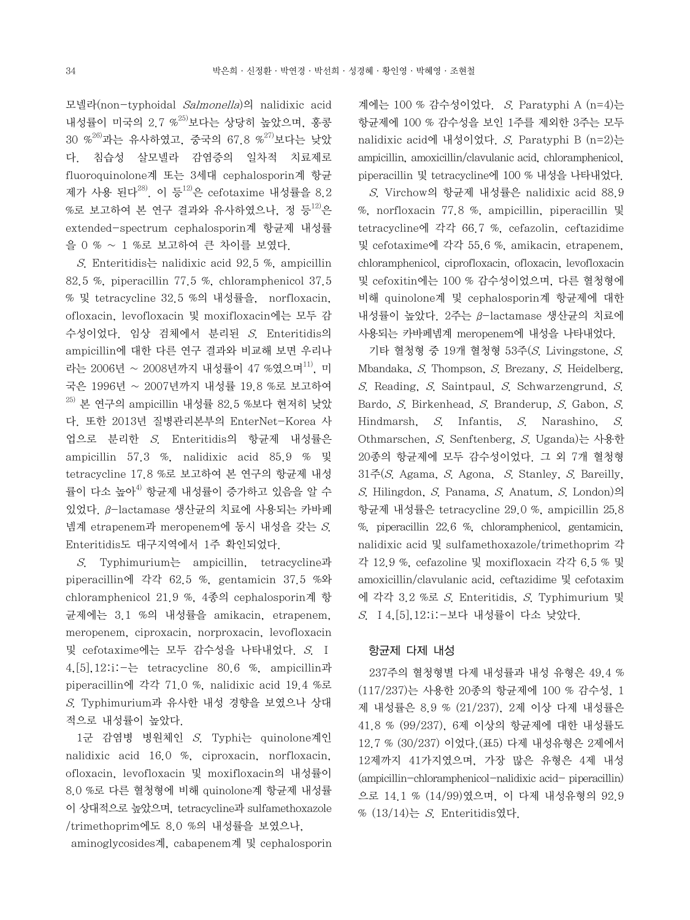모넬라(non-typhoidal Salmonella)의 nalidixic acid 내성률이 미국의 2.7 %<sup>25)</sup>보다는 상당히 높았으며, 홍콩  $30\,$  %<sup>26)</sup>과는 유사하였고, 중국의 67.8 %<sup>27)</sup>보다는 낮았 다. 침습성 살모넬라 감염증의 일차적 치료제로 fluoroquinolone계 또는 3세대 cephalosporin계 항균 제가 사용 된다 $^{28}$ . 이 등 $^{12}$ 은 cefotaxime 내성률을 8.2  $%$ 로 보고하여 본 연구 결과와 유사하였으나, 정 등 $^{12)}$ 은 extended-spectrum cephalosporin계 항균제 내성률 을 0 % ~ 1 %로 보고하여 큰 차이를 보였다.

S. Enteritidis halidixic acid 92.5 %, ampicillin 82.5 %, piperacillin 77.5 %, chloramphenicol 37.5 % 및 tetracycline 32.5 %의 내성률을, norfloxacin, ofloxacin, levofloxacin 및 moxifloxacin에는 모두 감 수성이었다. 임상 검체에서 분리된 S. Enteritidis의 ampicillin에 대한 다른 연구 결과와 비교해 보면 우리나 라는 2006년 ~ 2008년까지 내성률이 47 %였으며<sup>11)</sup>, 미 국은 1996년 ~ 2007년까지 내성률 19.8 %로 보고하여  $^{25)}$  본 연구의 ampicillin 내성률 82.5 %보다 현저히 낮았 다. 또한 2013년 질병관리본부의 EnterNet-Korea 사 업으로 분리한 S. Enteritidis의 항균제 내성률은 ampicillin 57.3 %, nalidixic acid 85.9 % 및 tetracycline 17.8 %로 보고하여 본 연구의 항균제 내성 률이 다소 높아<sup>4)</sup> 항균제 내성률이 증가하고 있음을 알 수 있었다. β-lactamase 생산균의 치료에 사용되는 카바페 넴계 etrapenem과 meropenem에 동시 내성을 갖는 S. Enteritidis도 대구지역에서 1주 확인되었다.

 S. Typhimurium는 ampicillin, tetracycline과 piperacillin에 각각 62.5 %, gentamicin 37.5 %와 chloramphenicol 21.9 %, 4종의 cephalosporin계 항 균제에는 3.1 %의 내성률을 amikacin, etrapenem, meropenem, ciproxacin, norproxacin, levofloxacin 및 cefotaxime에는 모두 감수성을 나타내었다. S. Ⅰ 4,[5],12:i:-는 tetracycline 80.6 %, ampicillin과 piperacillin에 각각 71.0 %, nalidixic acid 19.4 %로 S. Typhimurium과 유사한 내성 경향을 보였으나 상대 적으로 내성률이 높았다.

 1군 감염병 병원체인 S. Typhi는 quinolone계인 nalidixic acid 16.0 %, ciproxacin, norfloxacin, ofloxacin, levofloxacin 및 moxifloxacin의 내성률이 8.0 %로 다른 혈청형에 비해 quinolone계 항균제 내성률 이 상대적으로 높았으며, tetracycline과 sulfamethoxazole /trimethoprim에도 8.0 %의 내성률을 보였으나,

aminoglycosides계, cabapenem계 및 cephalosporin

계에는 100 % 감수성이었다.  $S$ . Paratyphi A  $(n=4)$ 는 항균제에 100 % 감수성을 보인 1주를 제외한 3주는 모두 nalidixic acid에 내성이었다. S. Paratyphi B  $(n=2)$ 는 ampicillin, amoxicillin/clavulanic acid, chloramphenicol, piperacillin 및 tetracycline에 100 % 내성을 나타내었다.

 S. Virchow의 항균제 내성률은 nalidixic acid 88.9 %, norfloxacin 77.8 %, ampicillin, piperacillin 및 tetracycline에 각각 66.7 %, cefazolin, ceftazidime 및 cefotaxime에 각각 55.6 %, amikacin, etrapenem, chloramphenicol, ciprofloxacin, ofloxacin, levofloxacin 및 cefoxitin에는 100 % 감수성이었으며, 다른 혈청형에 비해 quinolone계 및 cephalosporin계 항균제에 대한 내성률이 높았다. 2주는 β-lactamase 생산균의 치료에 사용되는 카바페넴계 meropenem에 내성을 나타내었다.

 기타 혈청형 중 19개 혈청형 53주(S. Livingstone, S. Mbandaka, S. Thompson, S. Brezany, S. Heidelberg, S. Reading, S. Saintpaul, S. Schwarzengrund, S. Bardo, S. Birkenhead, S. Branderup, S. Gabon, S. Hindmarsh, S. Infantis, S. Narashino, S. Othmarschen, S. Senftenberg, S. Uganda)는 사용한 20종의 항균제에 모두 감수성이었다. 그 외 7개 혈청형  $31\xi(S)$ . Agama, S. Agona, S. Stanley, S. Bareilly, S. Hilingdon, S. Panama, S. Anatum, S. London)의 항균제 내성률은 tetracycline 29.0 %, ampicillin 25.8 %, piperacillin 22.6 %, chloramphenicol, gentamicin, nalidixic acid 및 sulfamethoxazole/trimethoprim 각 각 12.9 %, cefazoline 및 moxifloxacin 각각 6.5 % 및 amoxicillin/clavulanic acid, ceftazidime 및 cefotaxim 에 각각 3.2 %로 S. Enteritidis, S. Typhimurium 및 S. Ⅰ4,[5],12:i:-보다 내성률이 다소 낮았다.

#### 항균제 다제 내성

 237주의 혈청형별 다제 내성률과 내성 유형은 49.4 % (117/237)는 사용한 20종의 항균제에 100 % 감수성, 1 제 내성률은 8.9 % (21/237), 2제 이상 다제 내성률은 41.8 % (99/237), 6제 이상의 항균제에 대한 내성률도 12.7 % (30/237) 이었다.(표5) 다제 내성유형은 2제에서 12제까지 41가지였으며, 가장 많은 유형은 4제 내성 (ampicillin-chloramphenicol-nalidixic acid- piperacillin) 으로 14.1 % (14/99)였으며, 이 다제 내성유형의 92.9  $% (13/14)$ 는 S. Enteritidis였다.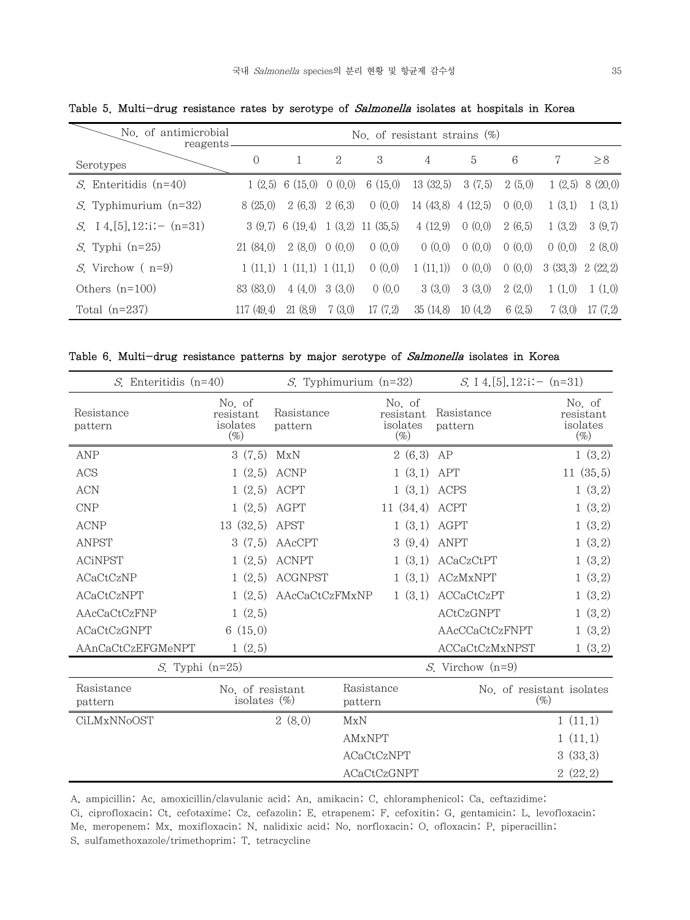| No. of antimicrobial<br>reagents. |            | No. of resistant strains $(\%)$ |               |                      |                 |                |        |         |          |  |  |  |  |
|-----------------------------------|------------|---------------------------------|---------------|----------------------|-----------------|----------------|--------|---------|----------|--|--|--|--|
| Serotypes                         | $\Omega$   |                                 | 2             | 3                    | $\overline{4}$  | $\overline{5}$ | 6      | 7       | $\geq 8$ |  |  |  |  |
| $S$ . Enteritidis $(n=40)$        | 1(2.5)     | 6 (15.0)                        | 0(0,0)        | 6(15,0)              | 13(32.5)        | 3(7,5)         | 2(5.0) | 1(2,5)  | 8 (20.0) |  |  |  |  |
| <i>S</i> . Typhimurium $(n=32)$   | 8(25,0)    | 2(6,3)                          | 2(6,3)        | 0(0,0)               | 14(43,8)4(12,5) |                | 0(0,0) | 1(3,1)  | 1(3,1)   |  |  |  |  |
| S. 14, [5], $12$ : i: - (n=31)    |            | 3(9,7) 6(19,4)                  |               | $1(3,2)$ 11 $(35,5)$ | 4(12.9)         | 0(0,0)         | 2(6.5) | 1(3,2)  | 3(9,7)   |  |  |  |  |
| $S$ . Typhi (n=25)                | 21(84,0)   |                                 | 2(8,0) 0(0,0) | 0(0,0)               | 0(0,0)          | 0(0,0)         | 0(0,0) | 0(0,0)  | 2(8,0)   |  |  |  |  |
| <i>S</i> . Virchow $(n=9)$        | 1(11.1)    | 1(11,1) 1(11,1)                 |               | 0(0,0)               | 1(11.1)         | 0(0,0)         | 0(0,0) | 3(33,3) | 2(22,2)  |  |  |  |  |
| Others $(n=100)$                  | 83 (83.0)  | 4(4.0)                          | 3(3,0)        | 0(0,0)               | 3(3,0)          | 3(3,0)         | 2(2,0) | 1(1,0)  | 1(1,0)   |  |  |  |  |
| Total $(n=237)$                   | 117 (49.4) | 21(8.9)                         | 7(3.0)        | 17(7,2)              | 35(14,8)        | 10(4,2)        | 6(2.5) | 7(3.0)  | 17(7,2)  |  |  |  |  |

Table 5. Multi-drug resistance rates by serotype of Salmonella isolates at hospitals in Korea

Table 6. Multi-drug resistance patterns by major serotype of Salmonella isolates in Korea

| $S$ . Enteritidis (n=40) |                                          | <i>S</i> . Typhimurium $(n=32)$ |                       |                                          | S. I 4, [5], $12$ : $i:-(n=31)$     |                                          |  |  |
|--------------------------|------------------------------------------|---------------------------------|-----------------------|------------------------------------------|-------------------------------------|------------------------------------------|--|--|
| Resistance<br>pattern    | No of<br>resistant<br>isolates<br>$(\%)$ | Rasistance<br>pattern           |                       | No of<br>resistant<br>isolates<br>$(\%)$ | Rasistance<br>pattern               | No of<br>resistant<br>isolates<br>$(\%)$ |  |  |
| <b>ANP</b>               | 3(7.5)                                   | MxN                             |                       | 2(6,3)                                   | AP                                  | 1(3,2)                                   |  |  |
| ACS                      | 1(2,5)                                   | <b>ACNP</b>                     |                       | 1(3,1)                                   | APT                                 | 11(35,5)                                 |  |  |
| <b>ACN</b>               | 1(2,5)                                   | ACPT                            |                       | 1(3,1)                                   | ACPS                                | 1(3,2)                                   |  |  |
| CNP                      | 1(2,5)                                   | AGPT                            |                       | 11(34,4)                                 | ACPT                                | 1(3,2)                                   |  |  |
| <b>ACNP</b>              | 13(32,5)                                 | APST                            |                       | 1(3,1)                                   | AGPT                                | 1(3,2)                                   |  |  |
| <b>ANPST</b>             | 3(7.5)                                   | AAcCPT                          |                       | 3(9,4)                                   | <b>ANPT</b>                         | 1(3,2)                                   |  |  |
| <b>ACiNPST</b>           | 1(2,5)                                   | <b>ACNPT</b>                    |                       | 1(3,1)                                   | ACaCzCtPT                           | 1(3,2)                                   |  |  |
| ACaCtCzNP                | 1(2,5)                                   | <b>ACGNPST</b>                  |                       | 1(3,1)                                   | <b>ACzMxNPT</b>                     | 1(3,2)                                   |  |  |
| <b>ACaCtCzNPT</b>        | 1(2,5)                                   | AAcCaCtCzFMxNP                  |                       | 1(3,1)                                   | ACCaCtCzPT                          | 1(3,2)                                   |  |  |
| AAcCaCtCzFNP             | 1(2.5)                                   |                                 |                       |                                          | ACtCzGNPT                           | 1(3,2)                                   |  |  |
| <b>ACaCtCzGNPT</b>       | 6(15,0)                                  |                                 |                       |                                          | AAcCCaCtCzFNPT                      | 1(3,2)                                   |  |  |
| AAnCaCtCzEFGMeNPT        | 1(2.5)                                   |                                 |                       |                                          | ACCaCtCzMxNPST                      | 1(3,2)                                   |  |  |
| $S$ . Typhi (n=25)       |                                          |                                 |                       |                                          | <i>S</i> . Virchow $(n=9)$          |                                          |  |  |
| Rasistance<br>pattern    | No. of resistant<br>isolates $(\%)$      |                                 | Rasistance<br>pattern |                                          | No. of resistant isolates<br>$(\%)$ |                                          |  |  |
| CiLMxNNoOST              |                                          | 2(8,0)                          | MxN                   |                                          |                                     | 1(11,1)                                  |  |  |
|                          |                                          |                                 | <b>AMxNPT</b>         |                                          |                                     | 1(11,1)                                  |  |  |
|                          |                                          |                                 | <b>ACaCtCzNPT</b>     |                                          |                                     | 3(33,3)                                  |  |  |
|                          |                                          |                                 | ACaCtCzGNPT           |                                          |                                     | 2(22,2)                                  |  |  |

A, ampicillin; Ac, amoxicillin/clavulanic acid; An, amikacin; C, chloramphenicol; Ca, ceftazidime;

Ci, ciprofloxacin; Ct, cefotaxime; Cz, cefazolin; E, etrapenem; F, cefoxitin; G, gentamicin; L, levofloxacin; Me, meropenem; Mx, moxifloxacin; N, nalidixic acid; No, norfloxacin; O, ofloxacin; P, piperacillin;

S, sulfamethoxazole/trimethoprim; T, tetracycline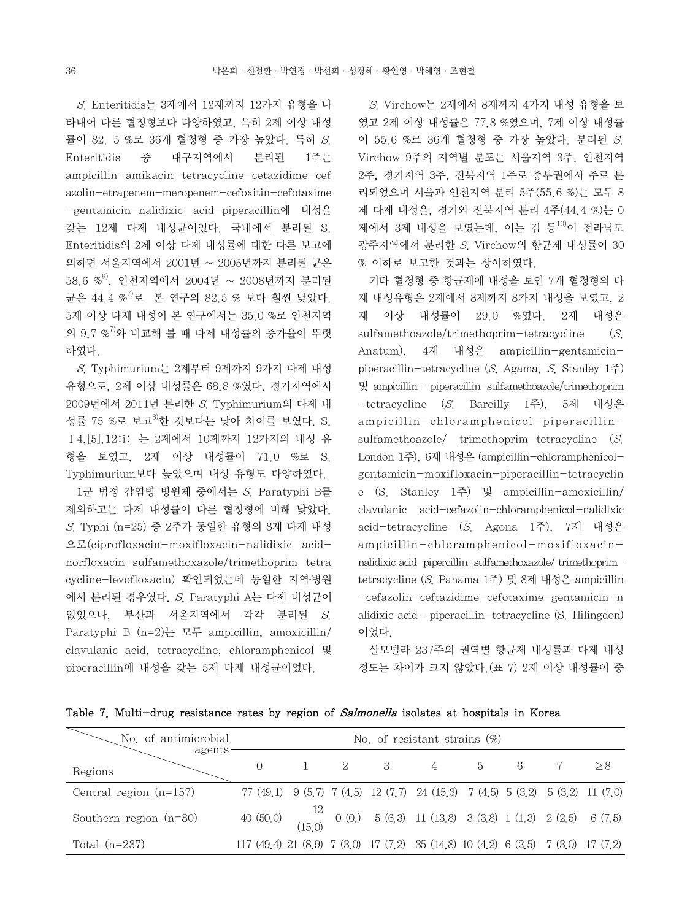S. Enteritidis는 3제에서 12제까지 12가지 유형을 나 타내어 다른 혈청형보다 다양하였고, 특히 2제 이상 내성 률이 82. 5 %로 36개 혈청형 중 가장 높았다. 특히 S. Enteritidis 중 대구지역에서 분리된 1주는 ampicillin-amikacin-tetracycline-cetazidime-cef azolin-etrapenem-meropenem-cefoxitin-cefotaxime -gentamicin-nalidixic acid-piperacillin에 내성을 갖는 12제 다제 내성균이었다. 국내에서 분리된 S. Enteritidis의 2제 이상 다제 내성률에 대한 다른 보고에 의하면 서울지역에서 2001년 ~ 2005년까지 분리된 균은  $58.6$  % $^{9}$ , 인천지역에서 2004년 ~ 2008년까지 분리된 균은 44.4 %<sup>7)</sup>로 본 연구의 82.5 % 보다 훨씬 낮았다. 5제 이상 다제 내성이 본 연구에서는 35.0 %로 인천지역 의 9.7 %<sup>7)</sup>와 비교해 볼 때 다제 내성률의 증가율이 뚜렷 하였다.

 S. Typhimurium는 2제부터 9제까지 9가지 다제 내성 유형으로, 2제 이상 내성률은 68.8 %였다. 경기지역에서 2009년에서 2011년 분리한 S. Typhimurium의 다제 내 성률 75 %로 보고 $^{8}$ 한 것보다는 낮아 차이를 보였다. S. Ⅰ4,[5],12:i:-는 2제에서 10제까지 12가지의 내성 유 형을 보였고, 2제 이상 내성률이 71.0 %로 S. Typhimurium보다 높았으며 내성 유형도 다양하였다.

 1군 법정 감염병 병원체 중에서는 S. Paratyphi B를 제외하고는 다제 내성률이 다른 혈청형에 비해 낮았다. S. Typhi (n=25) 중 2주가 동일한 유형의 8제 다제 내성 으로(ciprofloxacin-moxifloxacin-nalidixic acidnorfloxacin-sulfamethoxazole/trimethoprim-tetra cycline-levofloxacin) 확인되었는데 동일한 지역․병원 에서 분리된 경우였다. S. Paratyphi A는 다제 내성균이 없었으나, 부산과 서울지역에서 각각 분리된 S. Paratyphi B (n=2)는 모두 ampicillin, amoxicillin/ clavulanic acid, tetracycline, chloramphenicol 및 piperacillin에 내성을 갖는 5제 다제 내성균이었다.

 S. Virchow는 2제에서 8제까지 4가지 내성 유형을 보 였고 2제 이상 내성률은 77.8 %였으며, 7제 이상 내성률 이 55.6 %로 36개 혈청형 중 가장 높았다. 분리된 S. Virchow 9주의 지역별 분포는 서울지역 3주, 인천지역 2주, 경기지역 3주, 전북지역 1주로 중부권에서 주로 분 리되었으며 서울과 인천지역 분리 5주(55.6 %)는 모두 8 제 다제 내성을, 경기와 전북지역 분리 4주(44.4 %)는 0 제에서 3제 내성을 보였는데, 이는 김 등<sup>10)</sup>이 전라남도 광주지역에서 분리한 S. Virchow의 항균제 내성률이 30 % 이하로 보고한 것과는 상이하였다.

 기타 혈청형 중 항균제에 내성을 보인 7개 혈청형의 다 제 내성유형은 2제에서 8제까지 8가지 내성을 보였고, 2 제 이상 내성률이 29.0 %였다. 2제 내성은 sulfamethoazole/trimethoprim-tetracycline  $(S<sub>1</sub>)$ Anatum), 4제 내성은 ampicillin-gentamicinpiperacillin-tetracycline (S. Agama, S. Stanley  $1\leq$ ) 및 ampicillin- piperacillin-sulfamethoazole/trimethoprim -tetracycline (S. Bareilly 1주), 5제 내성은 ampicillin-chloramphenicol-piperacillinsulfamethoazole/ trimethoprim-tetracycline (S. London 1주), 6제 내성은 (ampicillin-chloramphenicolgentamicin-moxifloxacin-piperacillin-tetracyclin e (S. Stanley 1주) 및 ampicillin-amoxicillin/ clavulanic acid-cefazolin-chloramphenicol-nalidixic acid-tetracycline (S. Agona 1주), 7제 내성은 ampicillin-chloramphenicol-moxifloxacinnalidixic acid-pipercillin-sulfamethoxazole/ trimethoprimtetracycline (S. Panama 1주) 및 8제 내성은 ampicillin -cefazolin-ceftazidime-cefotaxime-gentamicin-n alidixic acid- piperacillin-tetracycline (S. Hilingdon) 이었다.

 살모넬라 237주의 권역별 항균제 내성률과 다제 내성 정도는 차이가 크지 않았다.(표 7) 2제 이상 내성률이 중

|  |  | Table 7. Multi-drug resistance rates by region of <i>Salmonella</i> isolates at hospitals in Korea |  |  |  |  |  |  |  |  |  |  |  |
|--|--|----------------------------------------------------------------------------------------------------|--|--|--|--|--|--|--|--|--|--|--|
|--|--|----------------------------------------------------------------------------------------------------|--|--|--|--|--|--|--|--|--|--|--|

| No. of antimicrobial<br>agents- | No. of resistant strains $(\%)$                                                  |  |  |                     |                                                                                                                                              |    |   |  |     |  |  |  |
|---------------------------------|----------------------------------------------------------------------------------|--|--|---------------------|----------------------------------------------------------------------------------------------------------------------------------------------|----|---|--|-----|--|--|--|
| Regions                         | $\Omega$                                                                         |  |  | $2 \qquad \qquad 3$ | $4\overline{ }$                                                                                                                              | -5 | 6 |  | > 8 |  |  |  |
| Central region $(n=157)$        |                                                                                  |  |  |                     | 77 (49.1) 9 (5.7) 7 (4.5) 12 (7.7) 24 (15.3) 7 (4.5) 5 (3.2) 5 (3.2) 11 (7.0)                                                                |    |   |  |     |  |  |  |
| Southern region $(n=80)$        |                                                                                  |  |  |                     | 40 (50.0) $\begin{array}{cccccc} 12 & 0 & 0 & 5 & 6 & 3 \\ 15 & 0 & 0 & 0 & 5 & 6 & 3 \end{array}$ 11 (13.8) 3 (3.8) 1 (1.3) 2 (2.5) 6 (7.5) |    |   |  |     |  |  |  |
| Total $(n=237)$                 | 117 (49.4) 21 (8.9) 7 (3.0) 17 (7.2) 35 (14.8) 10 (4.2) 6 (2.5) 7 (3.0) 17 (7.2) |  |  |                     |                                                                                                                                              |    |   |  |     |  |  |  |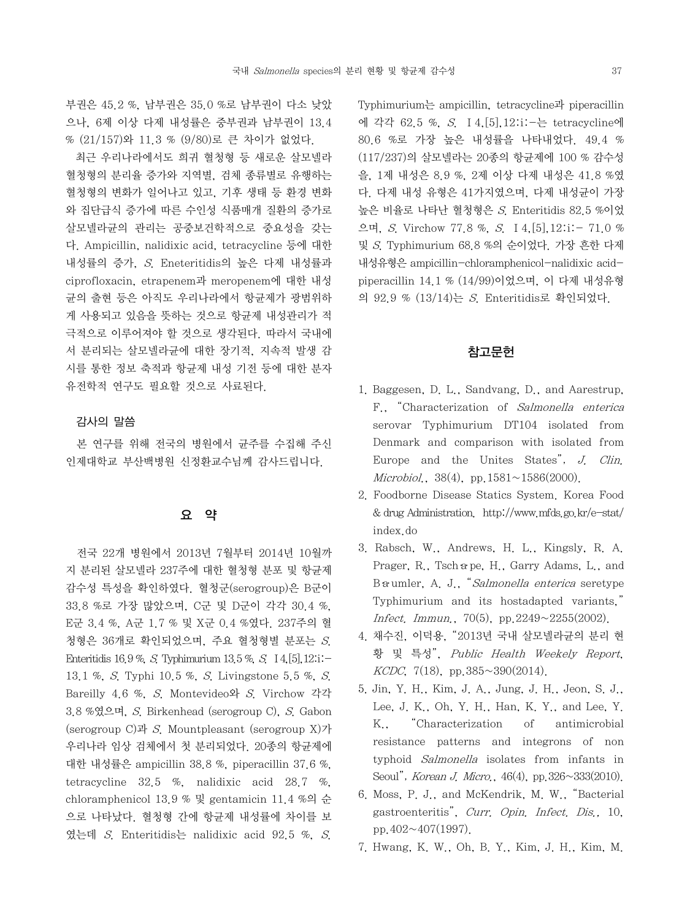부권은 45.2 %, 남부권은 35.0 %로 남부권이 다소 낮았 으나, 6제 이상 다제 내성률은 중부권과 남부권이 13.4 % (21/157)와 11.3 % (9/80)로 큰 차이가 없었다.

 최근 우리나라에서도 희귀 혈청형 등 새로운 살모넬라 혈청형의 분리율 증가와 지역별, 검체 종류별로 유행하는 혈청형의 변화가 일어나고 있고, 기후 생태 등 환경 변화 와 집단급식 증가에 따른 수인성 식품매개 질환의 증가로 살모넬라균의 관리는 공중보건학적으로 중요성을 갖는 다. Ampicillin, nalidixic acid, tetracycline 등에 대한 내성률의 증가, S. Eneteritidis의 높은 다제 내성률과 ciprofloxacin, etrapenem과 meropenem에 대한 내성 균의 출현 등은 아직도 우리나라에서 항균제가 광범위하 게 사용되고 있음을 뜻하는 것으로 항균제 내성관리가 적 극적으로 이루어져야 할 것으로 생각된다. 따라서 국내에 서 분리되는 살모넬라균에 대한 장기적, 지속적 발생 감 시를 통한 정보 축적과 항균제 내성 기전 등에 대한 분자 유전학적 연구도 필요할 것으로 사료된다.

## 감사의 말씀

 본 연구를 위해 전국의 병원에서 균주를 수집해 주신 인제대학교 부산백병원 신정환교수님께 감사드립니다.

## 요 약

 전국 22개 병원에서 2013년 7월부터 2014년 10월까 지 분리된 살모넬라 237주에 대한 혈청형 분포 및 항균제 감수성 특성을 확인하였다. 혈청군(serogroup)은 B군이 33.8 %로 가장 많았으며, C군 및 D군이 각각 30.4 %, E군 3.4 %, A군 1.7 % 및 X군 0.4 %였다. 237주의 혈 청형은 36개로 확인되었으며, 주요 혈청형별 분포는 S. Enteritidis 16.9 %, S. Typhimurium 13.5 %, S. Ⅰ4,[5],12:i:- 13.1 %, S. Typhi 10.5 %, S. Livingstone 5.5 %, S. Bareilly 4.6 %, S. Montevideo와 S. Virchow 각각 3.8 %였으며, S. Birkenhead (serogroup C), S. Gabon (serogroup C)과 S. Mountpleasant (serogroup X)가 우리나라 임상 검체에서 첫 분리되었다. 20종의 항균제에 대한 내성률은 ampicillin 38.8 %, piperacillin 37.6 %, tetracycline 32.5 %, nalidixic acid 28.7 %, chloramphenicol 13.9 % 및 gentamicin 11.4 %의 순 으로 나타났다. 혈청형 간에 항균제 내성률에 차이를 보 였는데 S. Enteritidis는 nalidixic acid 92.5 %, S.

Typhimurium는 ampicillin, tetracycline과 piperacillin 에 각각 62.5 %, S. Ⅰ4,[5],12:i:-는 tetracycline에 80.6 %로 가장 높은 내성률을 나타내었다. 49.4 % (117/237)의 살모넬라는 20종의 항균제에 100 % 감수성 을, 1제 내성은 8.9 %, 2제 이상 다제 내성은 41.8 %였 다. 다제 내성 유형은 41가지였으며, 다제 내성균이 가장 높은 비율로 나타난 혈청형은 S. Enteritidis 82.5 %이었 으며, S. Virchow 77.8 %, S. Ⅰ4,[5],12:i:- 71.0 % 및 S. Typhimurium 68.8 %의 순이었다. 가장 흔한 다제 내성유형은 ampicillin-chloramphenicol-nalidixic acidpiperacillin 14.1 % (14/99)이었으며, 이 다제 내성유형 의 92.9 % (13/14)는 S. Enteritidis로 확인되었다.

## 참고문헌

- 1. Baggesen, D. L., Sandvang, D., and Aarestrup, F., "Characterization of Salmonella enterica serovar Typhimurium DT104 isolated from Denmark and comparison with isolated from Europe and the Unites States", J. Clin. Microbiol.,  $38(4)$ , pp.  $1581 \sim 1586(2000)$ .
- 2. Foodborne Disease Statics System. Korea Food & drug Administration. http://www.mfds.go.kr/e-stat/ index.do
- 3. Rabsch, W., Andrews, H. L., Kingsly, R. A. Prager, R., Tsch a pe, H., Garry Adams, L., and Ba umler, A. J., "Salmonella enterica seretype Typhimurium and its hostadapted variants," Infect. Immun., 70(5), pp. 2249 $\sim$ 2255(2002).
- 4. 채수진, 이덕용, "2013년 국내 살모넬라균의 분리 현 황 및 특성", Public Health Weekely Report,  $KCDC$ , 7(18), pp. 385 $\sim$ 390(2014).
- 5. Jin, Y. H., Kim, J. A., Jung, J. H., Jeon, S. J., Lee, J. K., Oh, Y. H., Han, K. Y., and Lee, Y. K., "Characterization of antimicrobial resistance patterns and integrons of non typhoid Salmonella isolates from infants in Seoul", *Korean J. Micro.*, 46(4), pp.326~333(2010).
- 6. Moss, P. J., and McKendrik, M. W., "Bacterial gastroenteritis", Curr. Opin. Infect. Dis., 10, pp.402~407(1997).
- 7. Hwang, K. W., Oh, B. Y., Kim, J. H., Kim, M.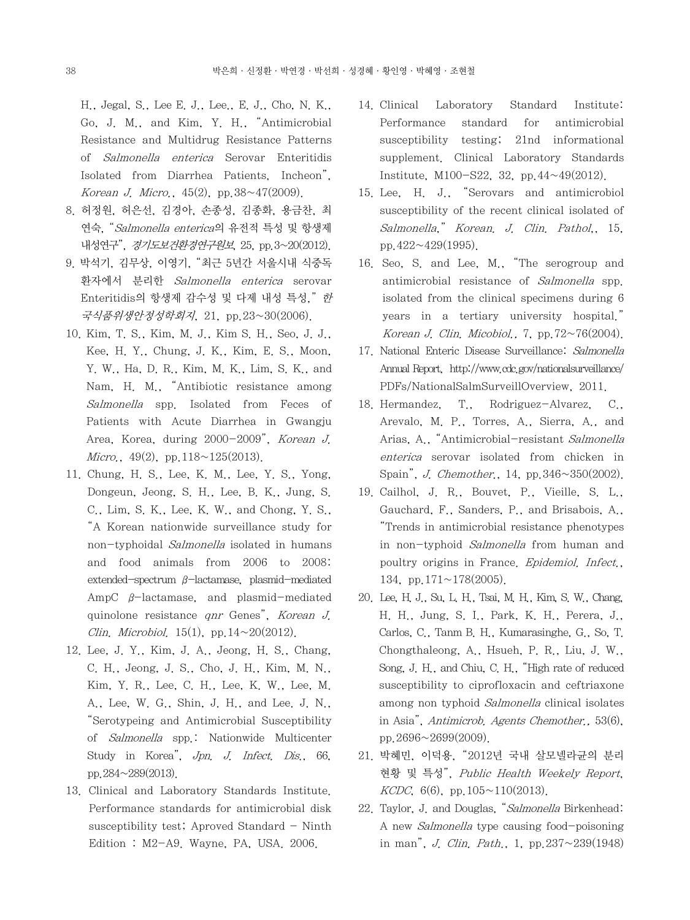H., Jegal, S., Lee E. J., Lee., E. J., Cho, N. K., Go, J. M., and Kim, Y. H., "Antimicrobial Resistance and Multidrug Resistance Patterns of Salmonella enterica Serovar Enteritidis Isolated from Diarrhea Patients, Incheon", Korean J. Micro.,  $45(2)$ , pp.  $38~17(2009)$ .

- 8. 허정원, 허은선, 김경아, 손종성, 김종화, 용금찬, 최 연숙, "Salmonella enterica의 유전적 특성 및 항생제 내성연구", 경기도보건환경연구원보, 25, pp. 3~20(2012).
- 9. 박석기, 김무상, 이영기, "최근 5년간 서울시내 식중독 환자에서 분리한 Salmonella enterica serovar Enteritidis의 항생제 감수성 및 다제 내성 특성," 한 국식품위생안정성학회지, 21, pp.23~30(2006).
- 10. Kim, T. S., Kim, M. J., Kim S. H., Seo, J. J., Kee, H. Y., Chung, J. K., Kim, E. S., Moon, Y. W., Ha, D. R., Kim, M. K., Lim, S. K., and Nam, H. M., "Antibiotic resistance among Salmonella spp. Isolated from Feces of Patients with Acute Diarrhea in Gwangju Area, Korea, during 2000-2009", Korean J. Micro.,  $49(2)$ , pp.  $118 \sim 125(2013)$ .
- 11. Chung, H. S., Lee, K. M., Lee, Y. S., Yong, Dongeun, Jeong, S. H., Lee, B. K., Jung, S. C., Lim, S. K., Lee, K. W., and Chong, Y. S., "A Korean nationwide surveillance study for non-typhoidal Salmonella isolated in humans and food animals from 2006 to 2008: extended-spectrum β-lactamase, plasmid-mediated AmpC β-lactamase, and plasmid-mediated quinolone resistance qnr Genes", Korean J. Clin. Microbiol. 15(1), pp.  $14 \sim 20(2012)$ .
- 12. Lee, J. Y., Kim, J. A., Jeong, H. S., Chang, C. H., Jeong, J. S., Cho, J. H., Kim, M. N., Kim, Y. R., Lee, C. H., Lee, K. W., Lee, M. A., Lee, W. G., Shin, J. H., and Lee. J. N., "Serotypeing and Antimicrobial Susceptibility of Salmonella spp.: Nationwide Multicenter Study in Korea", Jpn. J. Infect. Dis., 66, pp.284~289(2013).
- 13. Clinical and Laboratory Standards Institute. Performance standards for antimicrobial disk susceptibility test; Aproved Standard  $-$  Ninth Edition : M2-A9. Wayne, PA, USA. 2006.
- 14. Clinical Laboratory Standard Institute: Performance standard for antimicrobial susceptibility testing; 21nd informational supplement. Clinical Laboratory Standards Institute, M100-S22, 32, pp.44~49(2012).
- 15. Lee, H. J., "Serovars and antimicrobiol susceptibility of the recent clinical isolated of Salmonella," Korean. J. Clin. Pathol., 15, pp.  $422 \sim 429(1995)$ .
- 16. Seo, S. and Lee, M., "The serogroup and antimicrobial resistance of Salmonella spp. isolated from the clinical specimens during 6 years in a tertiary university hospital." Korean J. Clin. Micobiol., 7, pp. $72~76(2004)$ .
- 17. National Enteric Disease Surveillance: Salmonella Annual Report, http://www.cdc.gov/nationalsurveillance/ PDFs/NationalSalmSurveillOverview, 2011.
- 18. Hermandez, T., Rodriguez-Alvarez, C., Arevalo, M. P., Torres, A., Sierra, A., and Arias, A., "Antimicrobial-resistant Salmonella enterica serovar isolated from chicken in Spain", J. Chemother., 14, pp.346~350(2002).
- 19. Cailhol, J. R., Bouvet, P., Vieille, S. L., Gauchard, F., Sanders, P., and Brisabois, A., "Trends in antimicrobial resistance phenotypes in non-typhoid Salmonella from human and poultry origins in France. Epidemiol. Infect., 134, pp.171~178(2005).
- 20. Lee, H. J., Su, L. H., Tsai, M. H., Kim, S. W., Chang, H. H., Jung, S. I., Park, K. H., Perera, J., Carlos, C., Tanm B. H., Kumarasinghe, G., So, T. Chongthaleong, A., Hsueh, P. R., Liu, J. W., Song, J. H., and Chiu, C. H., "High rate of reduced susceptibility to ciprofloxacin and ceftriaxone among non typhoid Salmonella clinical isolates in Asia", Antimicrob. Agents Chemother., 53(6), pp.2696~2699(2009).
- 21. 박혜민, 이덕용, "2012년 국내 살모넬라균의 분리 현황 및 특성", Public Health Weekely Report,  $KCDC, 6(6), pp.105 \sim 110(2013).$
- 22. Taylor, J. and Douglas, "Salmonella Birkenhead: A new Salmonella type causing food-poisoning in man", *J. Clin. Path.*, 1, pp.  $237 \sim 239(1948)$